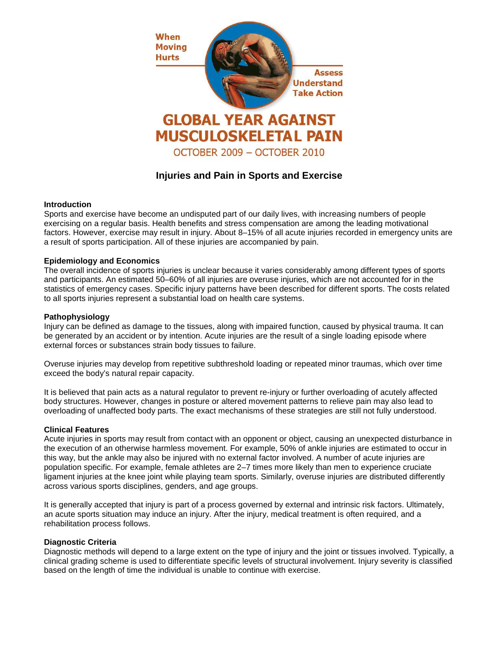

# **Injuries and Pain in Sports and Exercise**

# **Introduction**

Sports and exercise have become an undisputed part of our daily lives, with increasing numbers of people exercising on a regular basis. Health benefits and stress compensation are among the leading motivational factors. However, exercise may result in injury. About 8–15% of all acute injuries recorded in emergency units are a result of sports participation. All of these injuries are accompanied by pain.

# **Epidemiology and Economics**

The overall incidence of sports injuries is unclear because it varies considerably among different types of sports and participants. An estimated 50–60% of all injuries are overuse injuries, which are not accounted for in the statistics of emergency cases. Specific injury patterns have been described for different sports. The costs related to all sports injuries represent a substantial load on health care systems.

#### **Pathophysiology**

Injury can be defined as damage to the tissues, along with impaired function, caused by physical trauma. It can be generated by an accident or by intention. Acute injuries are the result of a single loading episode where external forces or substances strain body tissues to failure.

Overuse injuries may develop from repetitive subthreshold loading or repeated minor traumas, which over time exceed the body's natural repair capacity.

It is believed that pain acts as a natural regulator to prevent re-injury or further overloading of acutely affected body structures. However, changes in posture or altered movement patterns to relieve pain may also lead to overloading of unaffected body parts. The exact mechanisms of these strategies are still not fully understood.

#### **Clinical Features**

Acute injuries in sports may result from contact with an opponent or object, causing an unexpected disturbance in the execution of an otherwise harmless movement. For example, 50% of ankle injuries are estimated to occur in this way, but the ankle may also be injured with no external factor involved. A number of acute injuries are population specific. For example, female athletes are 2–7 times more likely than men to experience cruciate ligament injuries at the knee joint while playing team sports. Similarly, overuse injuries are distributed differently across various sports disciplines, genders, and age groups.

It is generally accepted that injury is part of a process governed by external and intrinsic risk factors. Ultimately, an acute sports situation may induce an injury. After the injury, medical treatment is often required, and a rehabilitation process follows.

#### **Diagnostic Criteria**

Diagnostic methods will depend to a large extent on the type of injury and the joint or tissues involved. Typically, a clinical grading scheme is used to differentiate specific levels of structural involvement. Injury severity is classified based on the length of time the individual is unable to continue with exercise.